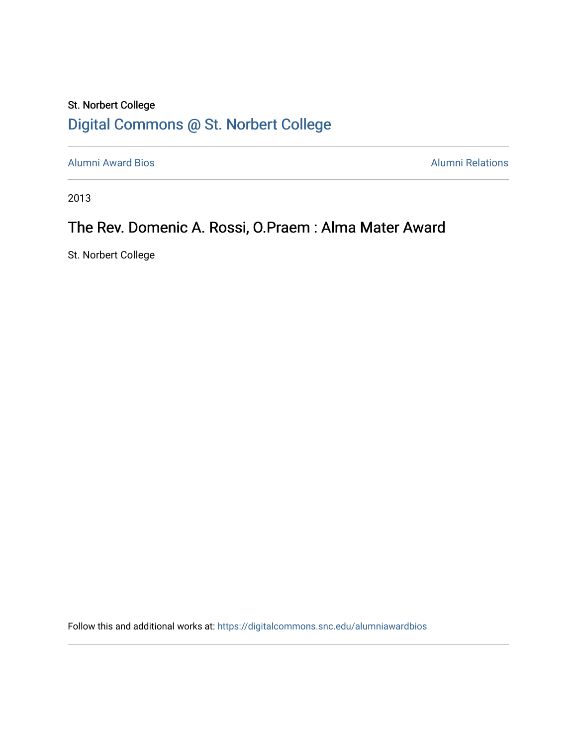# St. Norbert College [Digital Commons @ St. Norbert College](https://digitalcommons.snc.edu/)

[Alumni Award Bios](https://digitalcommons.snc.edu/alumniawardbios) **Alumni Relations** Alumni Relations

2013

# The Rev. Domenic A. Rossi, O.Praem : Alma Mater Award

St. Norbert College

Follow this and additional works at: [https://digitalcommons.snc.edu/alumniawardbios](https://digitalcommons.snc.edu/alumniawardbios?utm_source=digitalcommons.snc.edu%2Falumniawardbios%2F50&utm_medium=PDF&utm_campaign=PDFCoverPages)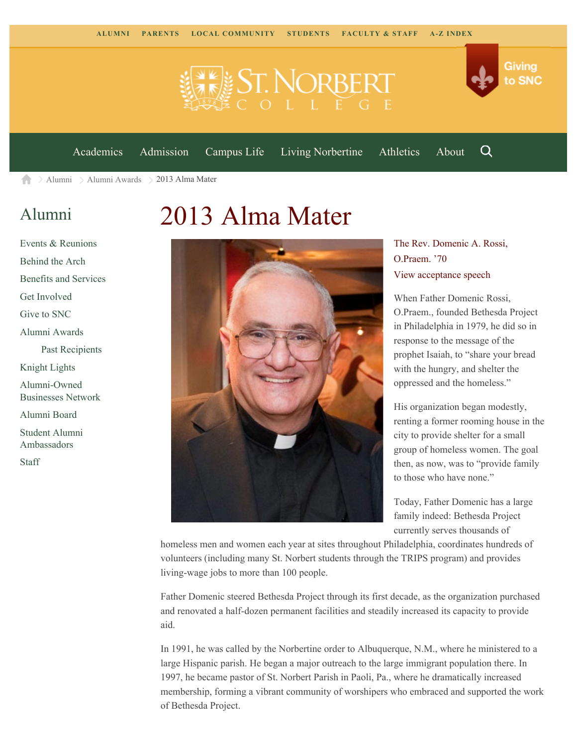



[Academics](https://www.snc.edu/academics) [Admission](https://www.snc.edu/admission) [Campus Life](https://www.snc.edu/campuslife) [Living Norbertine](https://www.snc.edu/livingnorbertine) [Athletics](https://www.snc.edu/athletics) [About](https://www.snc.edu/about)

Q

 $\geq$  [Alumni](https://www.snc.edu/alumni/)  $\geq$  [Alumni Awards](https://www.snc.edu/alumni/awards/)  $\geq$  2013 Alma Mater A

## [Alumni](https://www.snc.edu/alumni/index.html)

[Events & Reunions](https://www.snc.edu/alumni/event/index.html) [Behind the Arch](https://www.snc.edu/alumni/event/behindthearch/) [Benefits and Services](https://www.snc.edu/alumni/benefits.html) [Get Involved](https://www.snc.edu/alumni/getinvolved.html) [Give to SNC](http://giving.snc.edu/) [Alumni Awards](https://www.snc.edu/alumni/awards/index.html) [Past Recipients](https://www.snc.edu/alumni/awards/recipients.html) [Knight Lights](https://www.snc.edu/alumni/knightlights/index.html) [Alumni-Owned](https://www.snc.edu/alumni/directory/index.html) [Businesses Network](https://www.snc.edu/alumni/directory/index.html) [Alumni Board](https://www.snc.edu/alumni/alumniboard.html) [Student Alumni](https://www.snc.edu/alumni/saa.html) [Ambassadors](https://www.snc.edu/alumni/saa.html) [Staff](https://www.snc.edu/alumni/contactus.html)

# 2013 Alma Mater



#### The Rev. Domenic A. Rossi, O.Praem. '70 [View acceptance speech](http://www.youtube.com/watch?v=4RamXirryqg&feature=youtu.be)

When Father Domenic Rossi, O.Praem., founded Bethesda Project in Philadelphia in 1979, he did so in response to the message of the prophet Isaiah, to "share your bread with the hungry, and shelter the oppressed and the homeless."

His organization began modestly, renting a former rooming house in the city to provide shelter for a small group of homeless women. The goal then, as now, was to "provide family to those who have none."

Today, Father Domenic has a large family indeed: Bethesda Project currently serves thousands of

homeless men and women each year at sites throughout Philadelphia, coordinates hundreds of volunteers (including many St. Norbert students through the TRIPS program) and provides living-wage jobs to more than 100 people.

Father Domenic steered Bethesda Project through its first decade, as the organization purchased and renovated a half-dozen permanent facilities and steadily increased its capacity to provide aid.

In 1991, he was called by the Norbertine order to Albuquerque, N.M., where he ministered to a large Hispanic parish. He began a major outreach to the large immigrant population there. In 1997, he became pastor of St. Norbert Parish in Paoli, Pa., where he dramatically increased membership, forming a vibrant community of worshipers who embraced and supported the work of Bethesda Project.